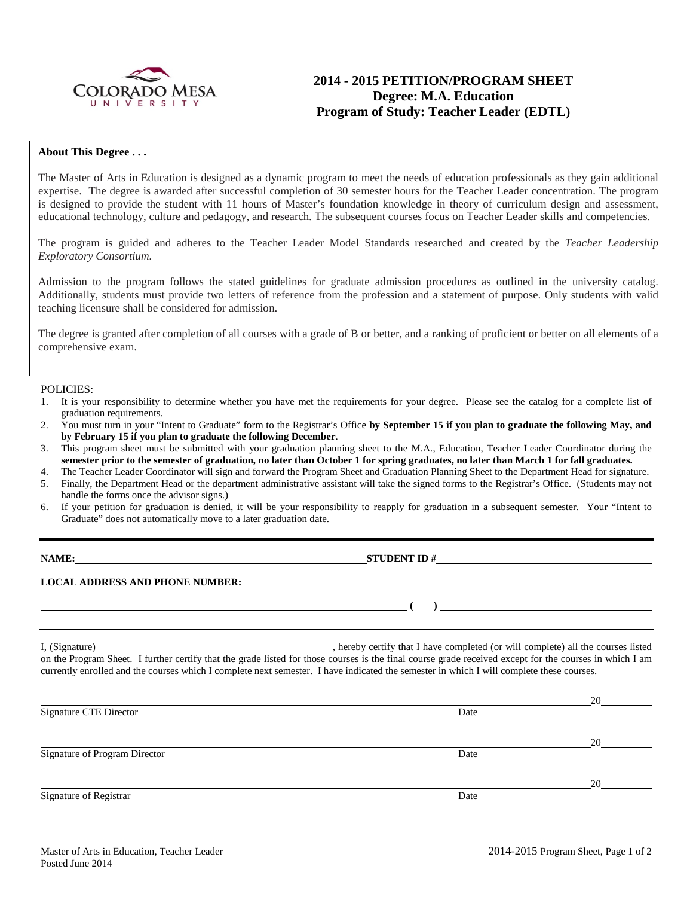

# **2014 - 2015 PETITION/PROGRAM SHEET Degree: M.A. Education Program of Study: Teacher Leader (EDTL)**

#### **About This Degree . . .**

The Master of Arts in Education is designed as a dynamic program to meet the needs of education professionals as they gain additional expertise. The degree is awarded after successful completion of 30 semester hours for the Teacher Leader concentration. The program is designed to provide the student with 11 hours of Master's foundation knowledge in theory of curriculum design and assessment, educational technology, culture and pedagogy, and research. The subsequent courses focus on Teacher Leader skills and competencies.

The program is guided and adheres to the Teacher Leader Model Standards researched and created by the *Teacher Leadership Exploratory Consortium.* 

Admission to the program follows the stated guidelines for graduate admission procedures as outlined in the university catalog. Additionally, students must provide two letters of reference from the profession and a statement of purpose. Only students with valid teaching licensure shall be considered for admission.

The degree is granted after completion of all courses with a grade of B or better, and a ranking of proficient or better on all elements of a comprehensive exam.

#### POLICIES:

- 1. It is your responsibility to determine whether you have met the requirements for your degree. Please see the catalog for a complete list of graduation requirements.
- 2. You must turn in your "Intent to Graduate" form to the Registrar's Office **by September 15 if you plan to graduate the following May, and by February 15 if you plan to graduate the following December**.
- 3. This program sheet must be submitted with your graduation planning sheet to the M.A., Education, Teacher Leader Coordinator during the **semester prior to the semester of graduation, no later than October 1 for spring graduates, no later than March 1 for fall graduates.**
- 4. The Teacher Leader Coordinator will sign and forward the Program Sheet and Graduation Planning Sheet to the Department Head for signature.
- 5. Finally, the Department Head or the department administrative assistant will take the signed forms to the Registrar's Office. (Students may not handle the forms once the advisor signs.)
- 6. If your petition for graduation is denied, it will be your responsibility to reapply for graduation in a subsequent semester. Your "Intent to Graduate" does not automatically move to a later graduation date.

| ١A | ۱M۱<br>œ |
|----|----------|
|    |          |

**STUDENT ID #** 

**LOCAL ADDRESS AND PHONE NUMBER:**

I, (Signature) hereby certify that I have completed (or will complete) all the courses listed on the Program Sheet. I further certify that the grade listed for those courses is the final course grade received except for the courses in which I am currently enrolled and the courses which I complete next semester. I have indicated the semester in which I will complete these courses.

|                               |      | 20 |
|-------------------------------|------|----|
| Signature CTE Director        | Date |    |
|                               |      | 20 |
| Signature of Program Director | Date |    |
|                               |      | 20 |
| Signature of Registrar        | Date |    |

**( )**